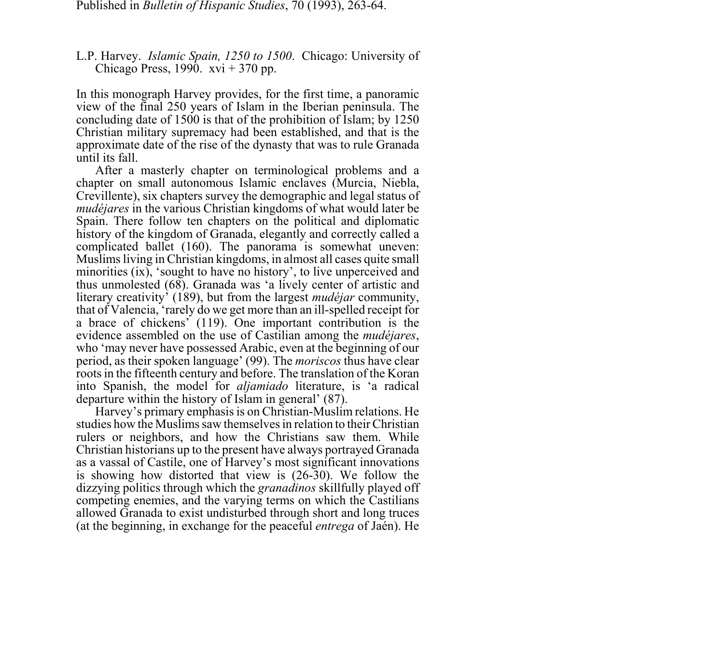Published in *Bulletin of Hispanic Studies*, 70 (1993), 263-64.

## L.P. Harvey. *Islamic Spain, 1250 to 1500*. Chicago: University of Chicago Press, 1990.  $xvi + 370$  pp.

In this monograph Harvey provides, for the first time, a panoramic view of the final 250 years of Islam in the Iberian peninsula. The concluding date of 1500 is that of the prohibition of Islam; by 1250 Christian military supremacy had been established, and that is the approximate date of the rise of the dynasty that was to rule Granada until its fall.

After a masterly chapter on terminological problems and a chapter on small autonomous Islamic enclaves (Murcia, Niebla, Crevillente), six chapters survey the demographic and legal status of *mudéjares* in the various Christian kingdoms of what would later be Spain. There follow ten chapters on the political and diplomatic history of the kingdom of Granada, elegantly and correctly called a complicated ballet (160). The panorama is somewhat uneven: Muslims living in Christian kingdoms, in almost all cases quite small minorities (ix), 'sought to have no history', to live unperceived and thus unmolested (68). Granada was 'a lively center of artistic and literary creativity' (189), but from the largest *mudéjar* community, that of Valencia, 'rarely do we get more than an ill-spelled receipt for a brace of chickens' (119). One important contribution is the evidence assembled on the use of Castilian among the *mudéjares*, who 'may never have possessed Arabic, even at the beginning of our period, as their spoken language' (99). The *moriscos* thus have clear roots in the fifteenth century and before. The translation of the Koran into Spanish, the model for *aljamiado* literature, is 'a radical departure within the history of Islam in general' (87).

Harvey's primary emphasis is on Christian-Muslim relations. He studies how the Muslims saw themselves in relation to their Christian rulers or neighbors, and how the Christians saw them. While Christian historians up to the present have always portrayed Granada as a vassal of Castile, one of Harvey's most significant innovations is showing how distorted that view is (26-30). We follow the dizzying politics through which the *granadinos* skillfully played off competing enemies, and the varying terms on which the Castilians allowed Granada to exist undisturbed through short and long truces (at the beginning, in exchange for the peaceful *entrega* of Jaén). He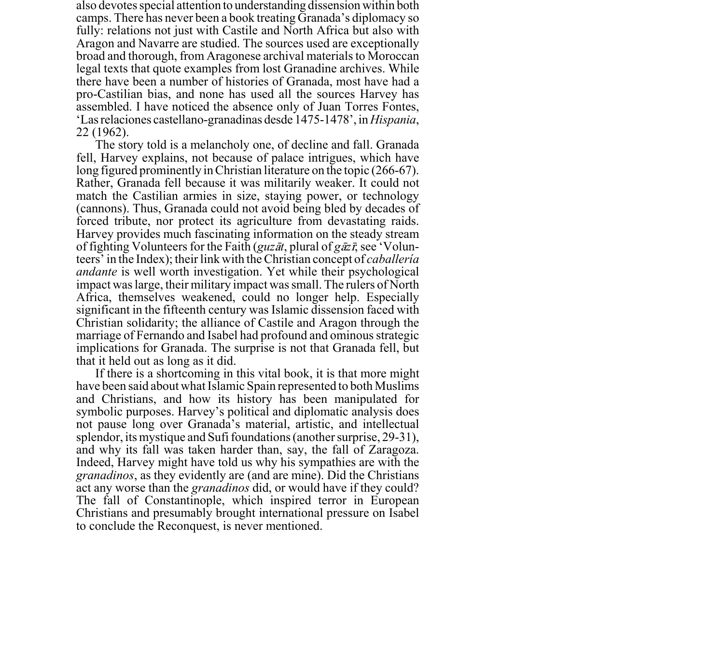also devotes special attention to understanding dissension within both camps. There has never been a book treating Granada's diplomacy so fully: relations not just with Castile and North Africa but also with Aragon and Navarre are studied. The sources used are exceptionally broad and thorough, from Aragonese archival materials to Moroccan legal texts that quote examples from lost Granadine archives. While there have been a number of histories of Granada, most have had a pro-Castilian bias, and none has used all the sources Harvey has assembled. I have noticed the absence only of Juan Torres Fontes, 'Las relaciones castellano-granadinas desde 1475-1478', in *Hispania*, 22 (1962).

The story told is a melancholy one, of decline and fall. Granada fell, Harvey explains, not because of palace intrigues, which have long figured prominently in Christian literature on the topic (266-67). Rather, Granada fell because it was militarily weaker. It could not match the Castilian armies in size, staying power, or technology (cannons). Thus, Granada could not avoid being bled by decades of forced tribute, nor protect its agriculture from devastating raids. Harvey provides much fascinating information on the steady stream of fighting Volunteers for the Faith (*guza*<sup>†</sup>, plural of *ga*<sup> $z$ </sup><sup> $\bar{r}$ </sup>, see 'Volunteers' in the Index); their link with the Christian concept of *caballería andante* is well worth investigation. Yet while their psychological impact was large, their military impact was small. The rulers of North Africa, themselves weakened, could no longer help. Especially significant in the fifteenth century was Islamic dissension faced with Christian solidarity; the alliance of Castile and Aragon through the marriage of Fernando and Isabel had profound and ominous strategic implications for Granada. The surprise is not that Granada fell, but that it held out as long as it did.

If there is a shortcoming in this vital book, it is that more might have been said about what Islamic Spain represented to both Muslims and Christians, and how its history has been manipulated for symbolic purposes. Harvey's political and diplomatic analysis does not pause long over Granada's material, artistic, and intellectual splendor, its mystique and Sufi foundations (another surprise, 29-31), and why its fall was taken harder than, say, the fall of Zaragoza. Indeed, Harvey might have told us why his sympathies are with the *granadinos*, as they evidently are (and are mine). Did the Christians act any worse than the *granadinos* did, or would have if they could? The fall of Constantinople, which inspired terror in European Christians and presumably brought international pressure on Isabel to conclude the Reconquest, is never mentioned.